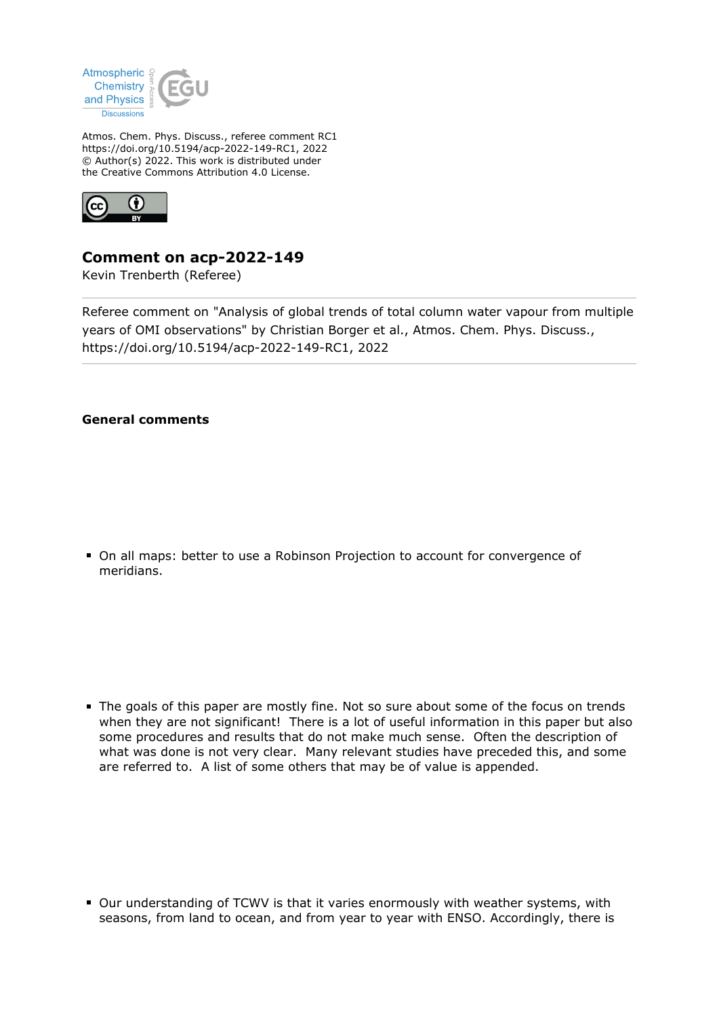

Atmos. Chem. Phys. Discuss., referee comment RC1 https://doi.org/10.5194/acp-2022-149-RC1, 2022 © Author(s) 2022. This work is distributed under the Creative Commons Attribution 4.0 License.



## **Comment on acp-2022-149**

Kevin Trenberth (Referee)

Referee comment on "Analysis of global trends of total column water vapour from multiple years of OMI observations" by Christian Borger et al., Atmos. Chem. Phys. Discuss., https://doi.org/10.5194/acp-2022-149-RC1, 2022

## **General comments**

On all maps: better to use a Robinson Projection to account for convergence of meridians.

The goals of this paper are mostly fine. Not so sure about some of the focus on trends when they are not significant! There is a lot of useful information in this paper but also some procedures and results that do not make much sense. Often the description of what was done is not very clear. Many relevant studies have preceded this, and some are referred to. A list of some others that may be of value is appended.

Our understanding of TCWV is that it varies enormously with weather systems, with seasons, from land to ocean, and from year to year with ENSO. Accordingly, there is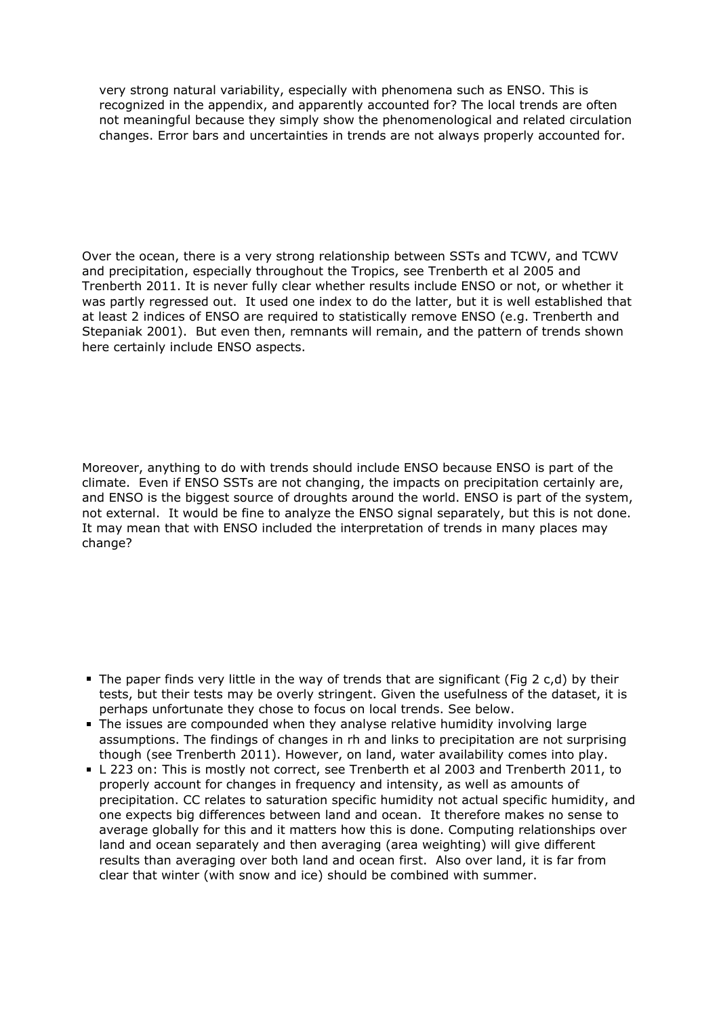very strong natural variability, especially with phenomena such as ENSO. This is recognized in the appendix, and apparently accounted for? The local trends are often not meaningful because they simply show the phenomenological and related circulation changes. Error bars and uncertainties in trends are not always properly accounted for.

Over the ocean, there is a very strong relationship between SSTs and TCWV, and TCWV and precipitation, especially throughout the Tropics, see Trenberth et al 2005 and Trenberth 2011. It is never fully clear whether results include ENSO or not, or whether it was partly regressed out. It used one index to do the latter, but it is well established that at least 2 indices of ENSO are required to statistically remove ENSO (e.g. Trenberth and Stepaniak 2001). But even then, remnants will remain, and the pattern of trends shown here certainly include ENSO aspects.

Moreover, anything to do with trends should include ENSO because ENSO is part of the climate. Even if ENSO SSTs are not changing, the impacts on precipitation certainly are, and ENSO is the biggest source of droughts around the world. ENSO is part of the system, not external. It would be fine to analyze the ENSO signal separately, but this is not done. It may mean that with ENSO included the interpretation of trends in many places may change?

- The paper finds very little in the way of trends that are significant (Fig 2 c,d) by their tests, but their tests may be overly stringent. Given the usefulness of the dataset, it is perhaps unfortunate they chose to focus on local trends. See below.
- The issues are compounded when they analyse relative humidity involving large assumptions. The findings of changes in rh and links to precipitation are not surprising though (see Trenberth 2011). However, on land, water availability comes into play.
- L 223 on: This is mostly not correct, see Trenberth et al 2003 and Trenberth 2011, to properly account for changes in frequency and intensity, as well as amounts of precipitation. CC relates to saturation specific humidity not actual specific humidity, and one expects big differences between land and ocean. It therefore makes no sense to average globally for this and it matters how this is done. Computing relationships over land and ocean separately and then averaging (area weighting) will give different results than averaging over both land and ocean first. Also over land, it is far from clear that winter (with snow and ice) should be combined with summer.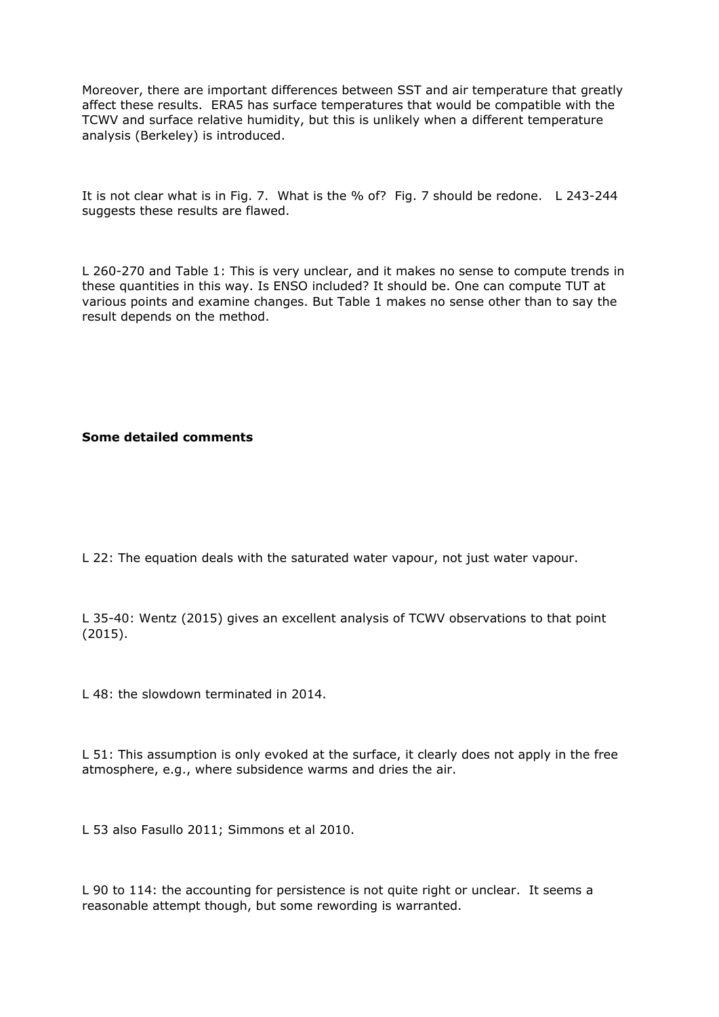Moreover, there are important differences between SST and air temperature that greatly affect these results. ERA5 has surface temperatures that would be compatible with the TCWV and surface relative humidity, but this is unlikely when a different temperature analysis (Berkeley) is introduced.

It is not clear what is in Fig. 7. What is the % of? Fig. 7 should be redone. L 243-244 suggests these results are flawed.

L 260-270 and Table 1: This is very unclear, and it makes no sense to compute trends in these quantities in this way. Is ENSO included? It should be. One can compute TUT at various points and examine changes. But Table 1 makes no sense other than to say the result depends on the method.

**Some detailed comments**

L 22: The equation deals with the saturated water vapour, not just water vapour.

L 35-40: Wentz (2015) gives an excellent analysis of TCWV observations to that point (2015).

L 48: the slowdown terminated in 2014.

L 51: This assumption is only evoked at the surface, it clearly does not apply in the free atmosphere, e.g., where subsidence warms and dries the air.

L 53 also Fasullo 2011; Simmons et al 2010.

L 90 to 114: the accounting for persistence is not quite right or unclear. It seems a reasonable attempt though, but some rewording is warranted.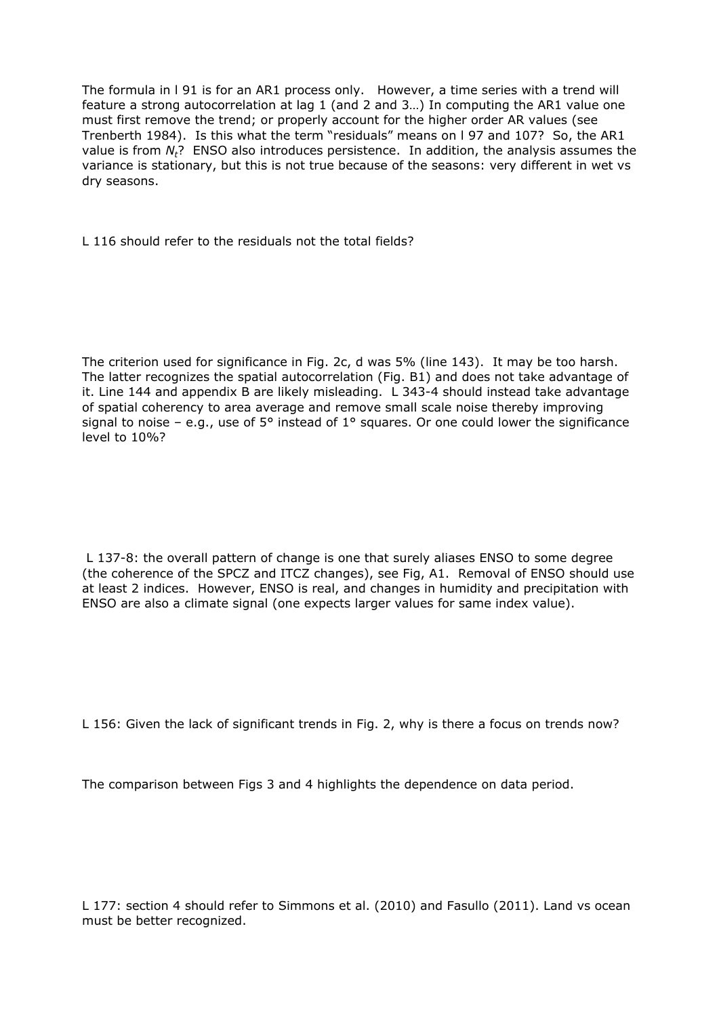The formula in l 91 is for an AR1 process only. However, a time series with a trend will feature a strong autocorrelation at lag 1 (and 2 and 3…) In computing the AR1 value one must first remove the trend; or properly account for the higher order AR values (see Trenberth 1984). Is this what the term "residuals" means on l 97 and 107? So, the AR1 value is from *Nt*? ENSO also introduces persistence. In addition, the analysis assumes the variance is stationary, but this is not true because of the seasons: very different in wet vs dry seasons.

L 116 should refer to the residuals not the total fields?

The criterion used for significance in Fig. 2c, d was 5% (line 143). It may be too harsh. The latter recognizes the spatial autocorrelation (Fig. B1) and does not take advantage of it. Line 144 and appendix B are likely misleading. L 343-4 should instead take advantage of spatial coherency to area average and remove small scale noise thereby improving signal to noise – e.g., use of  $5^{\circ}$  instead of  $1^{\circ}$  squares. Or one could lower the significance level to 10%?

 L 137-8: the overall pattern of change is one that surely aliases ENSO to some degree (the coherence of the SPCZ and ITCZ changes), see Fig, A1. Removal of ENSO should use at least 2 indices. However, ENSO is real, and changes in humidity and precipitation with ENSO are also a climate signal (one expects larger values for same index value).

L 156: Given the lack of significant trends in Fig. 2, why is there a focus on trends now?

The comparison between Figs 3 and 4 highlights the dependence on data period.

L 177: section 4 should refer to Simmons et al. (2010) and Fasullo (2011). Land vs ocean must be better recognized.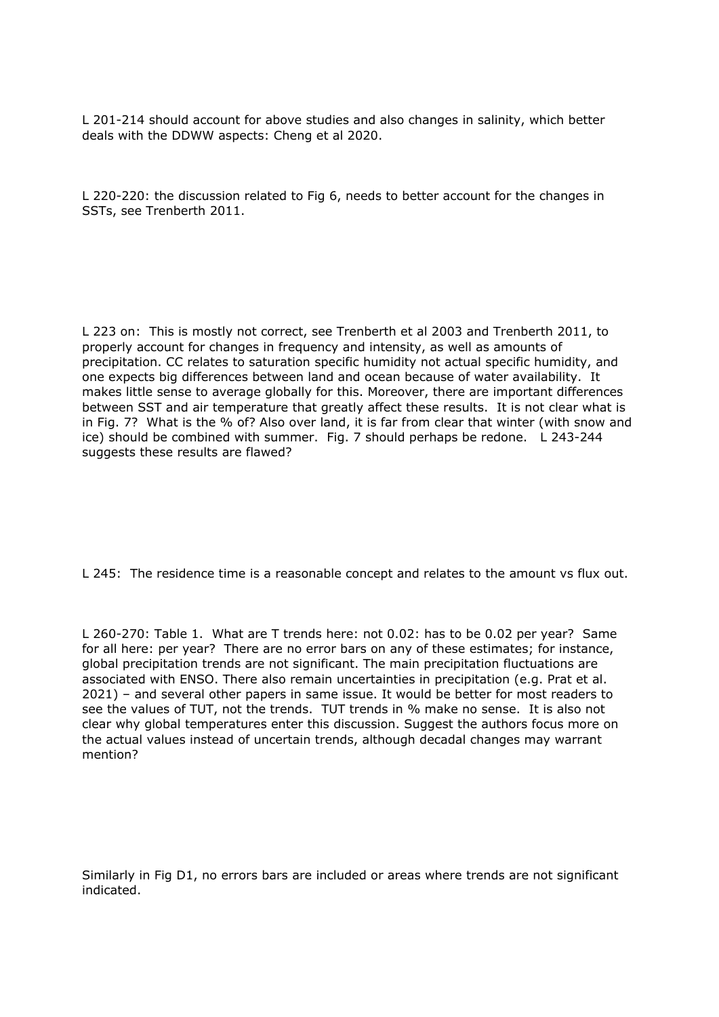L 201-214 should account for above studies and also changes in salinity, which better deals with the DDWW aspects: Cheng et al 2020.

L 220-220: the discussion related to Fig 6, needs to better account for the changes in SSTs, see Trenberth 2011.

L 223 on: This is mostly not correct, see Trenberth et al 2003 and Trenberth 2011, to properly account for changes in frequency and intensity, as well as amounts of precipitation. CC relates to saturation specific humidity not actual specific humidity, and one expects big differences between land and ocean because of water availability. It makes little sense to average globally for this. Moreover, there are important differences between SST and air temperature that greatly affect these results. It is not clear what is in Fig. 7? What is the % of? Also over land, it is far from clear that winter (with snow and ice) should be combined with summer. Fig. 7 should perhaps be redone. L 243-244 suggests these results are flawed?

L 245: The residence time is a reasonable concept and relates to the amount vs flux out.

L 260-270: Table 1. What are T trends here: not 0.02: has to be 0.02 per year? Same for all here: per year? There are no error bars on any of these estimates; for instance, global precipitation trends are not significant. The main precipitation fluctuations are associated with ENSO. There also remain uncertainties in precipitation (e.g. Prat et al. 2021) – and several other papers in same issue. It would be better for most readers to see the values of TUT, not the trends. TUT trends in % make no sense. It is also not clear why global temperatures enter this discussion. Suggest the authors focus more on the actual values instead of uncertain trends, although decadal changes may warrant mention?

Similarly in Fig D1, no errors bars are included or areas where trends are not significant indicated.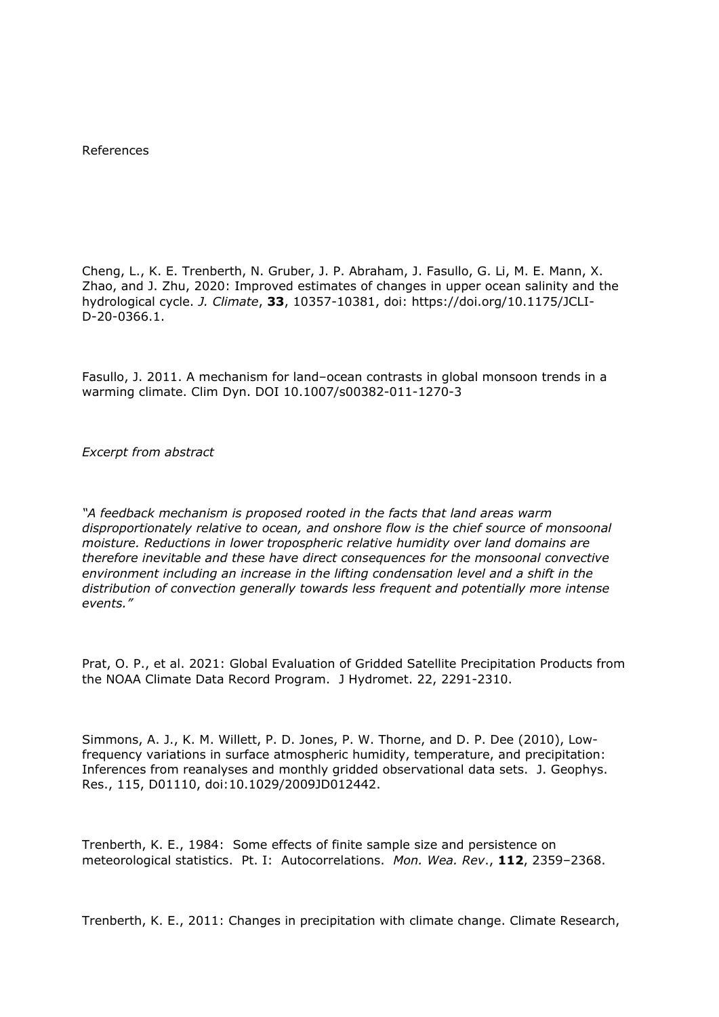References

Cheng, L., K. E. Trenberth, N. Gruber, J. P. Abraham, J. Fasullo, G. Li, M. E. Mann, X. Zhao, and J. Zhu, 2020: Improved estimates of changes in upper ocean salinity and the hydrological cycle. *J. Climate*, **33**, 10357-10381, doi: https://doi.org/10.1175/JCLI-D-20-0366.1.

Fasullo, J. 2011. A mechanism for land–ocean contrasts in global monsoon trends in a warming climate. Clim Dyn. DOI 10.1007/s00382-011-1270-3

*Excerpt from abstract*

*"A feedback mechanism is proposed rooted in the facts that land areas warm disproportionately relative to ocean, and onshore flow is the chief source of monsoonal moisture. Reductions in lower tropospheric relative humidity over land domains are therefore inevitable and these have direct consequences for the monsoonal convective environment including an increase in the lifting condensation level and a shift in the distribution of convection generally towards less frequent and potentially more intense events."*

Prat, O. P., et al. 2021: Global Evaluation of Gridded Satellite Precipitation Products from the NOAA Climate Data Record Program. J Hydromet. 22, 2291-2310.

Simmons, A. J., K. M. Willett, P. D. Jones, P. W. Thorne, and D. P. Dee (2010), Lowfrequency variations in surface atmospheric humidity, temperature, and precipitation: Inferences from reanalyses and monthly gridded observational data sets. J. Geophys. Res., 115, D01110, doi:10.1029/2009JD012442.

Trenberth, K. E., 1984: Some effects of finite sample size and persistence on meteorological statistics. Pt. I: Autocorrelations. *Mon. Wea. Rev*., **112**, 2359–2368.

Trenberth, K. E., 2011: Changes in precipitation with climate change. Climate Research,